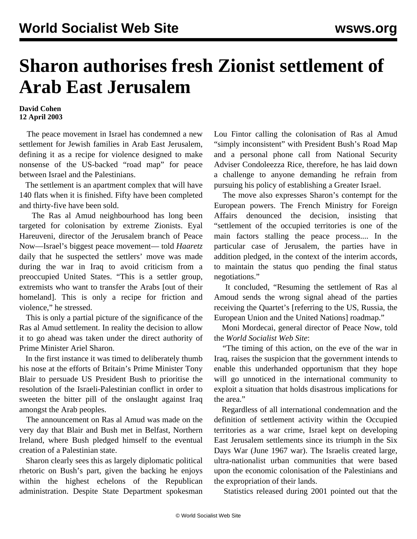## **Sharon authorises fresh Zionist settlement of Arab East Jerusalem**

## **David Cohen 12 April 2003**

 The peace movement in Israel has condemned a new settlement for Jewish families in Arab East Jerusalem, defining it as a recipe for violence designed to make nonsense of the US-backed "road map" for peace between Israel and the Palestinians.

 The settlement is an apartment complex that will have 140 flats when it is finished. Fifty have been completed and thirty-five have been sold.

 The Ras al Amud neighbourhood has long been targeted for colonisation by extreme Zionists. Eyal Hareuveni, director of the Jerusalem branch of Peace Now—Israel's biggest peace movement— told *Haaretz* daily that he suspected the settlers' move was made during the war in Iraq to avoid criticism from a preoccupied United States. "This is a settler group, extremists who want to transfer the Arabs [out of their homeland]. This is only a recipe for friction and violence," he stressed.

 This is only a partial picture of the significance of the Ras al Amud settlement. In reality the decision to allow it to go ahead was taken under the direct authority of Prime Minister Ariel Sharon.

 In the first instance it was timed to deliberately thumb his nose at the efforts of Britain's Prime Minister Tony Blair to persuade US President Bush to prioritise the resolution of the Israeli-Palestinian conflict in order to sweeten the bitter pill of the onslaught against Iraq amongst the Arab peoples.

 The announcement on Ras al Amud was made on the very day that Blair and Bush met in Belfast, Northern Ireland, where Bush pledged himself to the eventual creation of a Palestinian state.

 Sharon clearly sees this as largely diplomatic political rhetoric on Bush's part, given the backing he enjoys within the highest echelons of the Republican administration. Despite State Department spokesman Lou Fintor calling the colonisation of Ras al Amud "simply inconsistent" with President Bush's Road Map and a personal phone call from National Security Adviser Condoleezza Rice, therefore, he has laid down a challenge to anyone demanding he refrain from pursuing his policy of establishing a Greater Israel.

 The move also expresses Sharon's contempt for the European powers. The French Ministry for Foreign Affairs denounced the decision, insisting that "settlement of the occupied territories is one of the main factors stalling the peace process.... In the particular case of Jerusalem, the parties have in addition pledged, in the context of the interim accords, to maintain the status quo pending the final status negotiations."

 It concluded, "Resuming the settlement of Ras al Amoud sends the wrong signal ahead of the parties receiving the Quartet's [referring to the US, Russia, the European Union and the United Nations] roadmap."

 Moni Mordecai, general director of Peace Now, told the *World Socialist Web Site*:

 "The timing of this action, on the eve of the war in Iraq, raises the suspicion that the government intends to enable this underhanded opportunism that they hope will go unnoticed in the international community to exploit a situation that holds disastrous implications for the area."

 Regardless of all international condemnation and the definition of settlement activity within the Occupied territories as a war crime, Israel kept on developing East Jerusalem settlements since its triumph in the Six Days War (June 1967 war). The Israelis created large, ultra-nationalist urban communities that were based upon the economic colonisation of the Palestinians and the expropriation of their lands.

Statistics released during 2001 pointed out that the